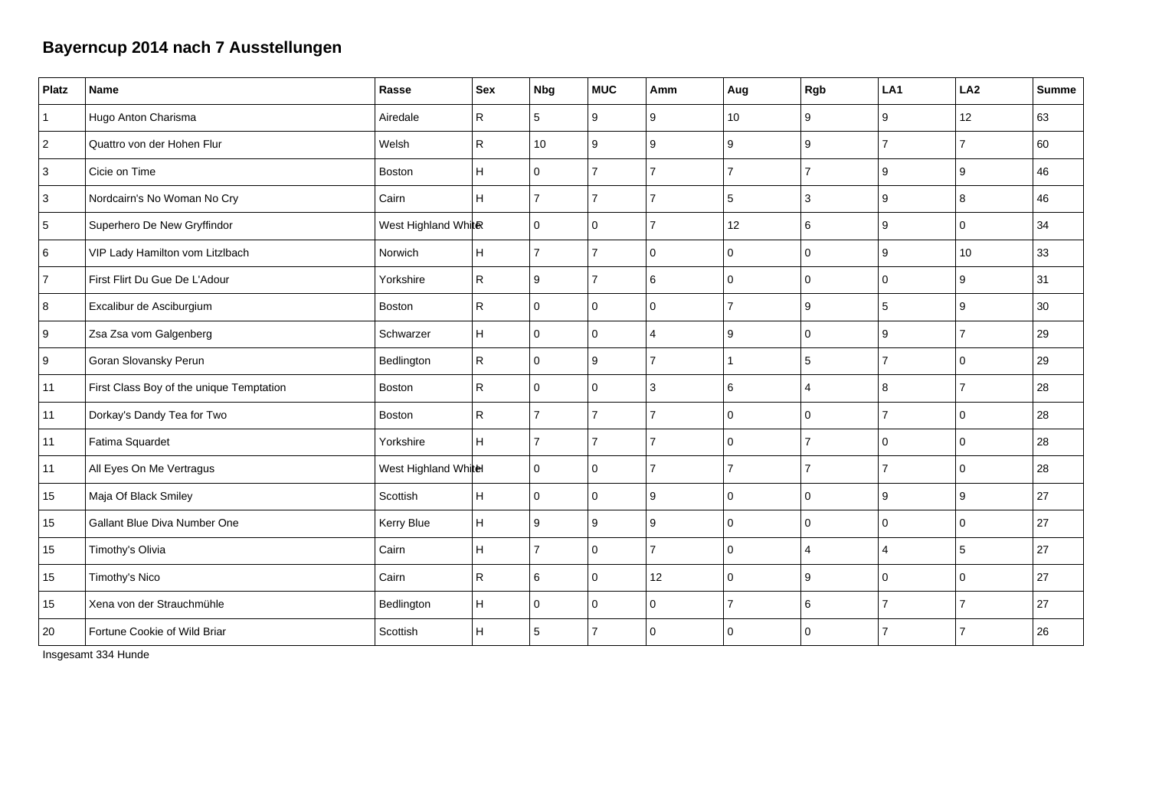## **Bayerncup 2014 nach 7 Ausstellungen**

| <b>Platz</b> | Name                                     | Rasse                | Sex                     | <b>Nbg</b>     | <b>MUC</b>     | Amm            | Aug            | Rgb                   | LA1            | LA <sub>2</sub> | <b>Summe</b> |
|--------------|------------------------------------------|----------------------|-------------------------|----------------|----------------|----------------|----------------|-----------------------|----------------|-----------------|--------------|
| $\vert$ 1    | Hugo Anton Charisma                      | Airedale             | $\mathsf{R}$            | 5              | 9              | 9              | 10             | 9                     | 9              | 12              | 63           |
| $\vert$ 2    | Quattro von der Hohen Flur               | Welsh                | $\mathsf{R}$            | 10             | 9              | 9              | 9              | 9                     | $\overline{7}$ | $\overline{7}$  | 60           |
| 3            | Cicie on Time                            | <b>Boston</b>        | H.                      | $\Omega$       | 7              | $\overline{7}$ | $\overline{7}$ | $\overline{7}$        | 9              | 9               | 46           |
| 3            | Nordcairn's No Woman No Cry              | Cairn                | H                       | $\overline{7}$ | $\overline{7}$ | $\overline{7}$ | 5              | 3                     | 9              | 8               | 46           |
| $\,$ 5 $\,$  | Superhero De New Gryffindor              | West Highland White  |                         | $\mathbf 0$    | $\mathbf 0$    | 17             | 12             | 6                     | 9              | $\mathbf 0$     | 34           |
| 6            | VIP Lady Hamilton vom Litzlbach          | Norwich              | H                       | $\overline{7}$ | $\overline{7}$ | $\mathbf{0}$   | $\Omega$       | $\mathbf 0$           | 9              | 10              | 33           |
| <b>7</b>     | First Flirt Du Gue De L'Adour            | Yorkshire            | ${\sf R}$               | 9              | 7              | 6              | $\Omega$       | $\Omega$              | $\Omega$       | 9               | 31           |
| 8            | Excalibur de Asciburgium                 | <b>Boston</b>        | $\mathsf{R}$            | $\Omega$       | $\Omega$       | $\Omega$       | $\overline{7}$ | 9                     | 5              | 9               | 30           |
| 9            | Zsa Zsa vom Galgenberg                   | Schwarzer            | H                       | $\Omega$       | $\mathbf 0$    | $\overline{4}$ | 9              | $\Omega$              | 9              | $\overline{7}$  | 29           |
| 9            | Goran Slovansky Perun                    | Bedlington           | ${\sf R}$               | $\Omega$       | 9              | $\overline{7}$ |                | 5                     | $\overline{7}$ | $\Omega$        | 29           |
| 11           | First Class Boy of the unique Temptation | Boston               | ${\sf R}$               | $\mathbf 0$    | $\mathbf 0$    | 3              | 6              | $\overline{4}$        | 8              | $\overline{7}$  | 28           |
| 11           | Dorkay's Dandy Tea for Two               | <b>Boston</b>        | $\mathsf{R}$            | $\overline{7}$ | 7              | 17             | $\mathbf 0$    | $\mathbf 0$           | $\overline{7}$ | $\mathbf 0$     | 28           |
| 11           | Fatima Squardet                          | Yorkshire            | H                       | $\overline{7}$ | $\overline{7}$ | $\overline{7}$ | $\Omega$       | $\overline{7}$        | $\Omega$       | 0               | 28           |
| 11           | All Eyes On Me Vertragus                 | West Highland Whitel |                         | $\Omega$       | $\mathbf 0$    | 17             | 7              | 7                     | $\overline{7}$ | 0               | 28           |
| 15           | Maja Of Black Smiley                     | Scottish             | H                       | $\mathbf 0$    | $\mathbf 0$    | 9              | $\Omega$       | $\Omega$              | 9              | 9               | 27           |
| 15           | Gallant Blue Diva Number One             | Kerry Blue           | $\overline{\mathsf{H}}$ | 9              | 9              | 9              | $\Omega$       | $\Omega$              | $\Omega$       | $\Omega$        | 27           |
| 15           | Timothy's Olivia                         | Cairn                | H                       | $\overline{7}$ | $\mathbf 0$    | $\overline{7}$ | $\Omega$       | $\boldsymbol{\Delta}$ | $\overline{4}$ | 5               | 27           |
| 15           | Timothy's Nico                           | Cairn                | $\mathsf{R}$            | 6              | $\mathbf 0$    | 12             | $\Omega$       | 9                     | $\Omega$       | 0               | 27           |
| 15           | Xena von der Strauchmühle                | Bedlington           | H                       | $\Omega$       | $\Omega$       | $\mathbf{0}$   | $\overline{7}$ | 6                     | $\overline{7}$ | $\overline{7}$  | 27           |
| 20           | Fortune Cookie of Wild Briar             | Scottish             | н                       | 5              | $\overline{7}$ | 0              | $\Omega$       | $\Omega$              | $\overline{7}$ | $\overline{7}$  | 26           |

Insgesamt 334 Hunde